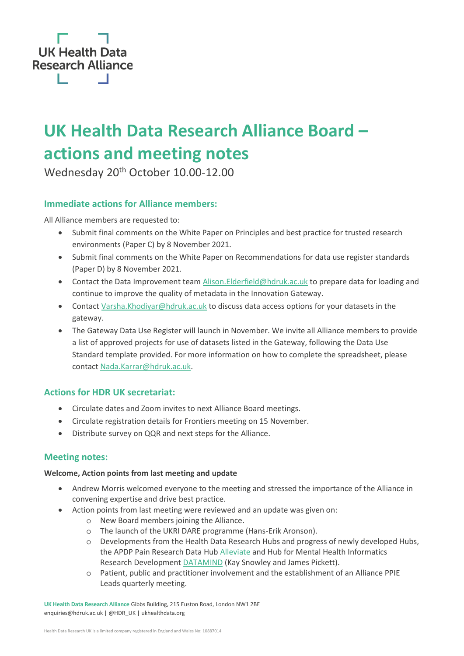

# **UK Health Data Research Alliance Board – actions and meeting notes**

Wednesday 20<sup>th</sup> October 10.00-12.00

# **Immediate actions for Alliance members:**

All Alliance members are requested to:

- Submit final comments on the White Paper on Principles and best practice for trusted research environments (Paper C) by 8 November 2021.
- Submit final comments on the White Paper on Recommendations for data use register standards (Paper D) by 8 November 2021.
- Contact the Data Improvement team [Alison.Elderfield@hdruk.ac.uk](mailto:Alison.Elderfield@hdruk.ac.uk) to prepare data for loading and continue to improve the quality of metadata in the Innovation Gateway.
- Contact [Varsha.Khodiyar@hdruk.ac.uk](mailto:Varsha.Khodiyar@hdruk.ac.uk) to discuss data access options for your datasets in the gateway.
- The Gateway Data Use Register will launch in November. We invite all Alliance members to provide a list of approved projects for use of datasets listed in the Gateway, following the Data Use Standard template provided. For more information on how to complete the spreadsheet, please contac[t Nada.Karrar@hdruk.ac.uk.](mailto:Nada.Karrar@hdruk.ac.uk)

# **Actions for HDR UK secretariat:**

- Circulate dates and Zoom invites to next Alliance Board meetings.
- Circulate registration details for Frontiers meeting on 15 November.
- Distribute survey on QQR and next steps for the Alliance.

## **Meeting notes:**

#### **Welcome, Action points from last meeting and update**

- Andrew Morris welcomed everyone to the meeting and stressed the importance of the Alliance in convening expertise and drive best practice.
- Action points from last meeting were reviewed and an update was given on:
	- o New Board members joining the Alliance.
	- o The launch of the UKRI DARE programme (Hans-Erik Aronson).
	- o Developments from the Health Data Research Hubs and progress of newly developed Hubs, the APDP Pain Research Data Hub [Alleviate](https://www.hdruk.ac.uk/helping-with-health-data/our-hubs-across-the-uk/alleviate/#:~:text=Alleviate%20is%20the%20APDP%20Pain,the%20aim%20to%20improve%20lives.) and Hub for Mental Health Informatics Research Development [DATAMIND](https://www.hdruk.ac.uk/helping-with-health-data/our-hubs-across-the-uk/datamind/) (Kay Snowley and James Pickett).
	- o Patient, public and practitioner involvement and the establishment of an Alliance PPIE Leads quarterly meeting.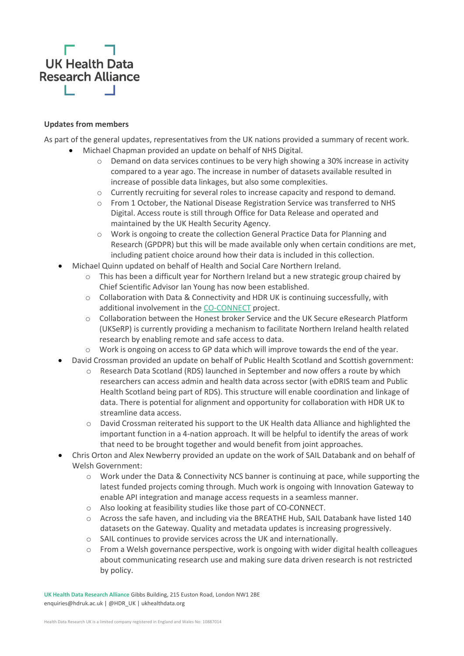

#### **Updates from members**

As part of the general updates, representatives from the UK nations provided a summary of recent work. • Michael Chapman provided an update on behalf of NHS Digital.

- $\circ$  Demand on data services continues to be very high showing a 30% increase in activity compared to a year ago. The increase in number of datasets available resulted in increase of possible data linkages, but also some complexities.
- o Currently recruiting for several roles to increase capacity and respond to demand.
- $\circ$  From 1 October, the National Disease Registration Service was transferred to NHS Digital. Access route is still through Office for Data Release and operated and maintained by the UK Health Security Agency.
- o Work is ongoing to create the collection General Practice Data for Planning and Research (GPDPR) but this will be made available only when certain conditions are met, including patient choice around how their data is included in this collection.
- Michael Quinn updated on behalf of Health and Social Care Northern Ireland.
	- o This has been a difficult year for Northern Ireland but a new strategic group chaired by Chief Scientific Advisor Ian Young has now been established.
	- o Collaboration with Data & Connectivity and HDR UK is continuing successfully, with additional involvement in the [CO-CONNECT](https://co-connect.ac.uk/) project.
	- o Collaboration between the Honest broker Service and the UK Secure eResearch Platform (UKSeRP) is currently providing a mechanism to facilitate Northern Ireland health related research by enabling remote and safe access to data.
	- o Work is ongoing on access to GP data which will improve towards the end of the year.
- David Crossman provided an update on behalf of Public Health Scotland and Scottish government:
	- $\circ$  Research Data Scotland (RDS) launched in September and now offers a route by which researchers can access admin and health data across sector (with eDRIS team and Public Health Scotland being part of RDS). This structure will enable coordination and linkage of data. There is potential for alignment and opportunity for collaboration with HDR UK to streamline data access.
	- o David Crossman reiterated his support to the UK Health data Alliance and highlighted the important function in a 4-nation approach. It will be helpful to identify the areas of work that need to be brought together and would benefit from joint approaches.
- Chris Orton and Alex Newberry provided an update on the work of SAIL Databank and on behalf of Welsh Government:
	- o Work under the Data & Connectivity NCS banner is continuing at pace, while supporting the latest funded projects coming through. Much work is ongoing with Innovation Gateway to enable API integration and manage access requests in a seamless manner.
	- o Also looking at feasibility studies like those part of CO-CONNECT.
	- o Across the safe haven, and including via the BREATHE Hub, SAIL Databank have listed 140 datasets on the Gateway. Quality and metadata updates is increasing progressively.
	- o SAIL continues to provide services across the UK and internationally.
	- o From a Welsh governance perspective, work is ongoing with wider digital health colleagues about communicating research use and making sure data driven research is not restricted by policy.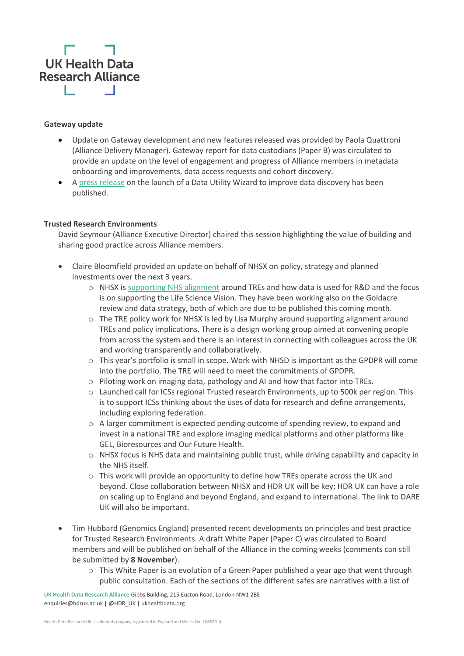

#### **Gateway update**

- Update on Gateway development and new features released was provided by Paola Quattroni (Alliance Delivery Manager). Gateway report for data custodians (Paper B) was circulated to provide an update on the level of engagement and progress of Alliance members in metadata onboarding and improvements, data access requests and cohort discovery.
- [A press release](https://www.hdruk.ac.uk/news/health-data-research-uk-releases-new-tool-to-improve-dataset-discovery/?_hsmi=172103115&_hsenc=p2ANqtz-_U4M-q8XYgYpb4QT1c_11UNNASj6tb7hp-h77PGen-lPH26MEcEYt7iIalsUs0V-SYSyaY3Hom0N5BBcq1qbPuisWM5SzghZx6DD6kkjFrFNH8fME) on the launch of a Data Utility Wizard to improve data discovery has been published.

#### **Trusted Research Environments**

David Seymour (Alliance Executive Director) chaired this session highlighting the value of building and sharing good practice across Alliance members.

- Claire Bloomfield provided an update on behalf of NHSX on policy, strategy and planned investments over the next 3 years.
	- $\circ$  NHSX is [supporting NHS alignment](https://www.nhsx.nhs.uk/blogs/joining-up-the-dots-driving-innovation-research-and-planning-through-trusted-research-environments/) around TREs and how data is used for R&D and the focus is on supporting the Life Science Vision. They have been working also on the Goldacre review and data strategy, both of which are due to be published this coming month.
	- $\circ$  The TRE policy work for NHSX is led by Lisa Murphy around supporting alignment around TREs and policy implications. There is a design working group aimed at convening people from across the system and there is an interest in connecting with colleagues across the UK and working transparently and collaboratively.
	- $\circ$  This year's portfolio is small in scope. Work with NHSD is important as the GPDPR will come into the portfolio. The TRE will need to meet the commitments of GPDPR.
	- $\circ$  Piloting work on imaging data, pathology and AI and how that factor into TREs.
	- o Launched call for ICSs regional Trusted research Environments, up to 500k per region. This is to support ICSs thinking about the uses of data for research and define arrangements, including exploring federation.
	- $\circ$  A larger commitment is expected pending outcome of spending review, to expand and invest in a national TRE and explore imaging medical platforms and other platforms like GEL, Bioresources and Our Future Health.
	- $\circ$  NHSX focus is NHS data and maintaining public trust, while driving capability and capacity in the NHS itself.
	- $\circ$  This work will provide an opportunity to define how TREs operate across the UK and beyond. Close collaboration between NHSX and HDR UK will be key; HDR UK can have a role on scaling up to England and beyond England, and expand to international. The link to DARE UK will also be important.
- Tim Hubbard (Genomics England) presented recent developments on principles and best practice for Trusted Research Environments. A draft White Paper (Paper C) was circulated to Board members and will be published on behalf of the Alliance in the coming weeks (comments can still be submitted by **8 November**).
	- $\circ$  This White Paper is an evolution of a Green Paper published a year ago that went through public consultation. Each of the sections of the different safes are narratives with a list of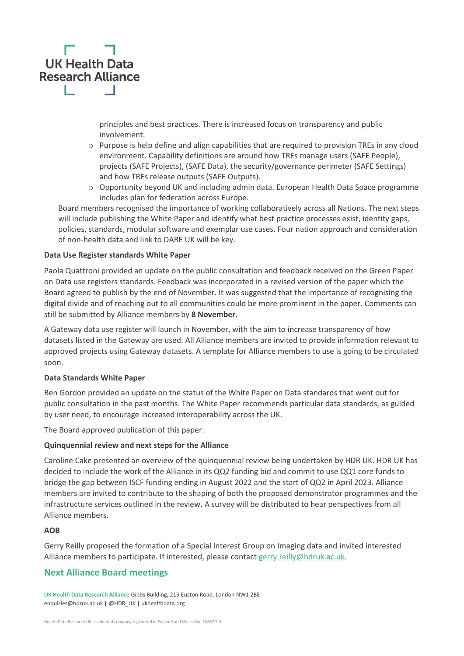

principles and best practices. There is increased focus on transparency and public involvement.

- $\circ$  Purpose is help define and align capabilities that are required to provision TREs in any cloud environment. Capability definitions are around how TREs manage users (SAFE People), projects (SAFE Projects), (SAFE Data), the security/governance perimeter (SAFE Settings) and how TREs release outputs (SAFE Outputs).
- $\circ$  Opportunity beyond UK and including admin data. European Health Data Space programme includes plan for federation across Europe.

Board members recognised the importance of working collaboratively across all Nations. The next steps will include publishing the White Paper and identify what best practice processes exist, identity gaps, policies, standards, modular software and exemplar use cases. Four nation approach and consideration of non-health data and link to DARE UK will be key.

#### **Data Use Register standards White Paper**

Paola Quattroni provided an update on the public consultation and feedback received on the Green Paper on Data use registers standards. Feedback was incorporated in a revised version of the paper which the Board agreed to publish by the end of November. It was suggested that the importance of recognising the digital divide and of reaching out to all communities could be more prominent in the paper. Comments can still be submitted by Alliance members by **8 November**.

A Gateway data use register will launch in November, with the aim to increase transparency of how datasets listed in the Gateway are used. All Alliance members are invited to provide information relevant to approved projects using Gateway datasets. A template for Alliance members to use is going to be circulated soon.

#### **Data Standards White Paper**

Ben Gordon provided an update on the status of the White Paper on Data standards that went out for public consultation in the past months. The White Paper recommends particular data standards, as guided by user need, to encourage increased interoperability across the UK.

The Board approved publication of this paper.

#### **Quinquennial review and next steps for the Alliance**

Caroline Cake presented an overview of the quinquennial review being undertaken by HDR UK. HDR UK has decided to include the work of the Alliance in its QQ2 funding bid and commit to use QQ1 core funds to bridge the gap between ISCF funding ending in August 2022 and the start of QQ2 in April 2023. Alliance members are invited to contribute to the shaping of both the proposed demonstrator programmes and the infrastructure services outlined in the review. A survey will be distributed to hear perspectives from all Alliance members.

#### **AOB**

Gerry Reilly proposed the formation of a Special Interest Group on Imaging data and invited interested Alliance members to participate. If interested, please contact [gerry.reilly@hdruk.ac.uk.](mailto:gerry.reilly@hdruk.ac.uk)

## **Next Alliance Board meetings**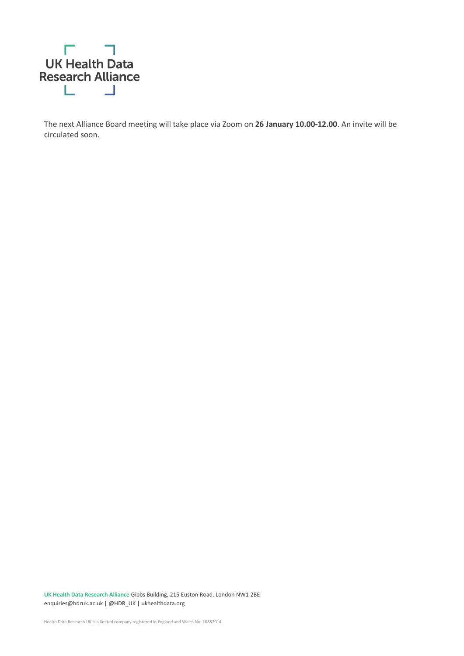

The next Alliance Board meeting will take place via Zoom on **26 January 10.00-12.00**. An invite will be circulated soon.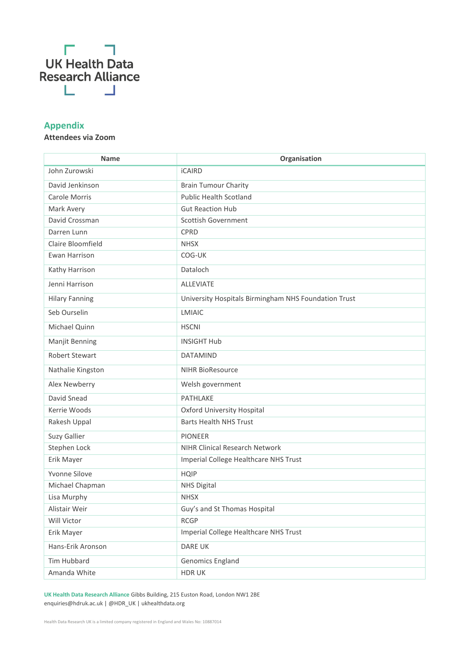

# **Appendix**

### **Attendees via Zoom**

| <b>Name</b>           | Organisation                                         |
|-----------------------|------------------------------------------------------|
| John Zurowski         | <b>iCAIRD</b>                                        |
| David Jenkinson       | <b>Brain Tumour Charity</b>                          |
| Carole Morris         | <b>Public Health Scotland</b>                        |
| Mark Avery            | <b>Gut Reaction Hub</b>                              |
| David Crossman        | <b>Scottish Government</b>                           |
| Darren Lunn           | <b>CPRD</b>                                          |
| Claire Bloomfield     | <b>NHSX</b>                                          |
| Ewan Harrison         | COG-UK                                               |
| Kathy Harrison        | Dataloch                                             |
| Jenni Harrison        | <b>ALLEVIATE</b>                                     |
| <b>Hilary Fanning</b> | University Hospitals Birmingham NHS Foundation Trust |
| Seb Ourselin          | LMIAIC                                               |
| Michael Quinn         | <b>HSCNI</b>                                         |
| Manjit Benning        | <b>INSIGHT Hub</b>                                   |
| <b>Robert Stewart</b> | <b>DATAMIND</b>                                      |
| Nathalie Kingston     | <b>NIHR BioResource</b>                              |
| Alex Newberry         | Welsh government                                     |
| David Snead           | PATHLAKE                                             |
| Kerrie Woods          | Oxford University Hospital                           |
| Rakesh Uppal          | <b>Barts Health NHS Trust</b>                        |
| Suzy Gallier          | <b>PIONEER</b>                                       |
| Stephen Lock          | NIHR Clinical Research Network                       |
| Erik Mayer            | Imperial College Healthcare NHS Trust                |
| Yvonne Silove         | <b>HQIP</b>                                          |
| Michael Chapman       | <b>NHS Digital</b>                                   |
| Lisa Murphy           | <b>NHSX</b>                                          |
| Alistair Weir         | Guy's and St Thomas Hospital                         |
| Will Victor           | <b>RCGP</b>                                          |
| Erik Mayer            | Imperial College Healthcare NHS Trust                |
| Hans-Erik Aronson     | DARE UK                                              |
| Tim Hubbard           | Genomics England                                     |
| Amanda White          | <b>HDRUK</b>                                         |